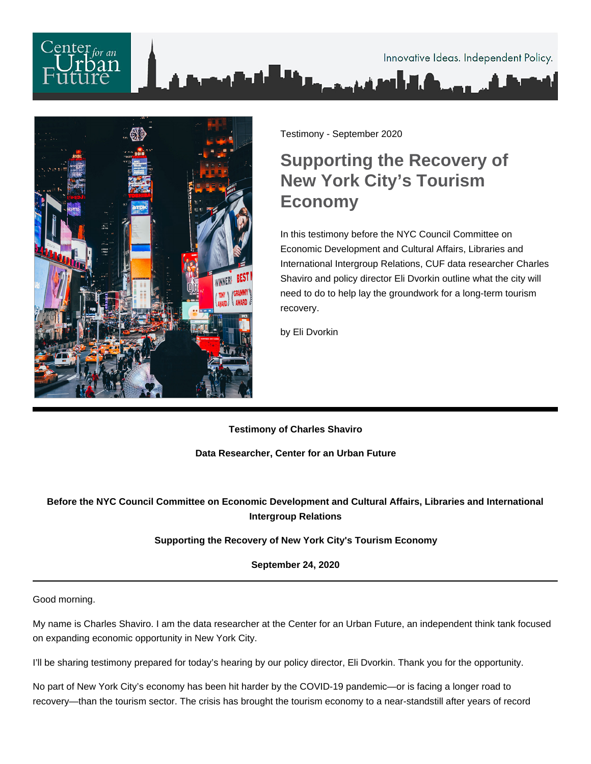# $\mathbf{f}$  for an Innovative Ideas. Independent Policy.



Testimony - September 2020

## **Supporting the Recovery of New York City's Tourism Economy**

In this testimony before the NYC Council Committee on Economic Development and Cultural Affairs, Libraries and International Intergroup Relations, CUF data researcher Charles Shaviro and policy director Eli Dvorkin outline what the city will need to do to help lay the groundwork for a long-term tourism recovery.

by Eli Dvorkin

**Testimony of Charles Shaviro**

**Data Researcher, Center for an Urban Future**

### **Before the NYC Council Committee on Economic Development and Cultural Affairs, Libraries and International Intergroup Relations**

#### **Supporting the Recovery of New York City's Tourism Economy**

**September 24, 2020**

Good morning.

My name is Charles Shaviro. I am the data researcher at the Center for an Urban Future, an independent think tank focused on expanding economic opportunity in New York City.

I'll be sharing testimony prepared for today's hearing by our policy director, Eli Dvorkin. Thank you for the opportunity.

No part of New York City's economy has been hit harder by the COVID-19 pandemic—or is facing a longer road to recovery—than the tourism sector. The crisis has brought the tourism economy to a near-standstill after years of record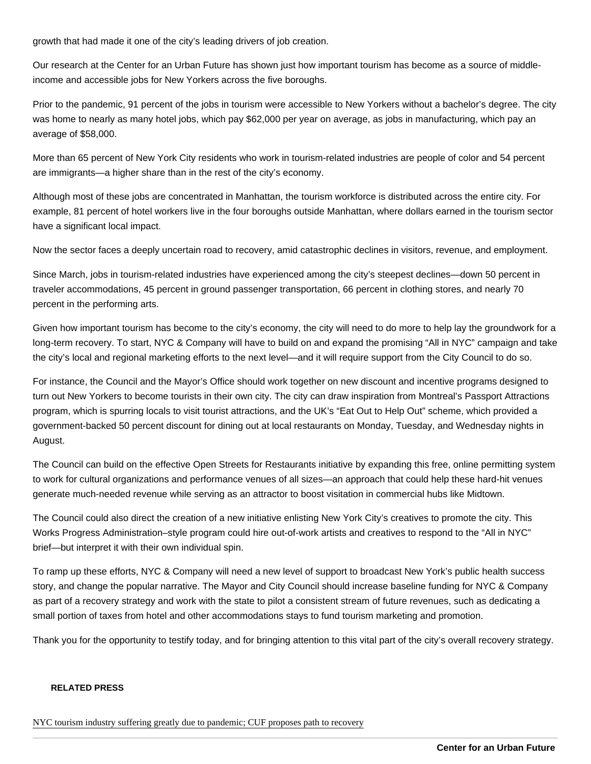growth that had made it one of the city's leading drivers of job creation.

Our research at the Center for an Urban Future has shown just how important tourism has become as a source of middleincome and accessible jobs for New Yorkers across the five boroughs.

Prior to the pandemic, 91 percent of the jobs in tourism were accessible to New Yorkers without a bachelor's degree. The city was home to nearly as many hotel jobs, which pay \$62,000 per year on average, as jobs in manufacturing, which pay an average of \$58,000.

More than 65 percent of New York City residents who work in tourism-related industries are people of color and 54 percent are immigrants—a higher share than in the rest of the city's economy.

Although most of these jobs are concentrated in Manhattan, the tourism workforce is distributed across the entire city. For example, 81 percent of hotel workers live in the four boroughs outside Manhattan, where dollars earned in the tourism sector have a significant local impact.

Now the sector faces a deeply uncertain road to recovery, amid catastrophic declines in visitors, revenue, and employment.

Since March, jobs in tourism-related industries have experienced among the city's steepest declines—down 50 percent in traveler accommodations, 45 percent in ground passenger transportation, 66 percent in clothing stores, and nearly 70 percent in the performing arts.

Given how important tourism has become to the city's economy, the city will need to do more to help lay the groundwork for a long-term recovery. To start, NYC & Company will have to build on and expand the promising "All in NYC" campaign and take the city's local and regional marketing efforts to the next level—and it will require support from the City Council to do so.

For instance, the Council and the Mayor's Office should work together on new discount and incentive programs designed to turn out New Yorkers to become tourists in their own city. The city can draw inspiration from Montreal's Passport Attractions program, which is spurring locals to visit tourist attractions, and the UK's "Eat Out to Help Out" scheme, which provided a government-backed 50 percent discount for dining out at local restaurants on Monday, Tuesday, and Wednesday nights in August.

The Council can build on the effective Open Streets for Restaurants initiative by expanding this free, online permitting system to work for cultural organizations and performance venues of all sizes—an approach that could help these hard-hit venues generate much-needed revenue while serving as an attractor to boost visitation in commercial hubs like Midtown.

The Council could also direct the creation of a new initiative enlisting New York City's creatives to promote the city. This Works Progress Administration–style program could hire out-of-work artists and creatives to respond to the "All in NYC" brief—but interpret it with their own individual spin.

To ramp up these efforts, NYC & Company will need a new level of support to broadcast New York's public health success story, and change the popular narrative. The Mayor and City Council should increase baseline funding for NYC & Company as part of a recovery strategy and work with the state to pilot a consistent stream of future revenues, such as dedicating a small portion of taxes from hotel and other accommodations stays to fund tourism marketing and promotion.

Thank you for the opportunity to testify today, and for bringing attention to this vital part of the city's overall recovery strategy.

#### RELATED PRESS

[NYC tourism industry suffering greatly due to pandemic; CUF proposes path to re](https://urbanreform.org/stories/556766692-nyc-tourism-industry-suffering-greatly-due-to-pandemic-center-for-an-urban-future-proposes-path-to-recovery#)covery